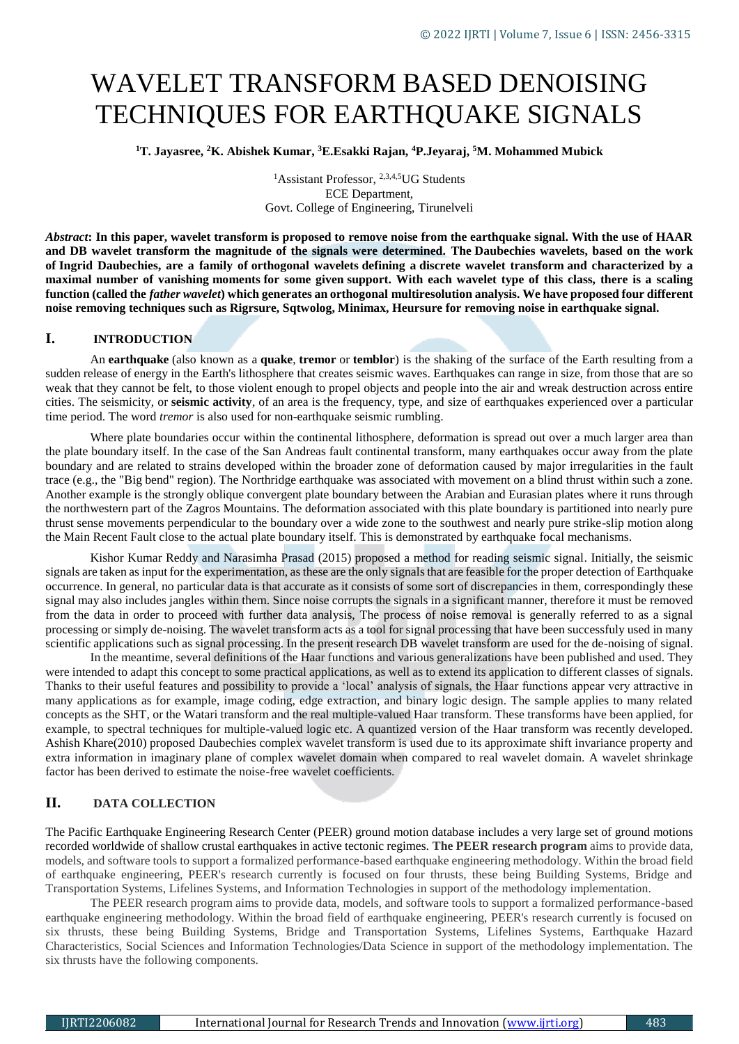# WAVELET TRANSFORM BASED DENOISING TECHNIQUES FOR EARTHQUAKE SIGNALS

**<sup>1</sup>T. Jayasree, <sup>2</sup>K. Abishek Kumar, <sup>3</sup>E.Esakki Rajan, <sup>4</sup>P.Jeyaraj, <sup>5</sup>M. Mohammed Mubick** 

<sup>1</sup>Assistant Professor, <sup>2,3,4,5</sup>UG Students ECE Department, Govt. College of Engineering, Tirunelveli

*Abstract***: In this paper, wavelet transform is proposed to remove noise from the earthquake signal. With the use of HAAR and DB wavelet transform the magnitude of the signals were determined. The Daubechies wavelets, based on the work of [Ingrid Daubechies,](https://en.wikipedia.org/wiki/Ingrid_Daubechies) are a family of [orthogonal wavelets](https://en.wikipedia.org/wiki/Orthogonal_wavelet) defining a [discrete wavelet transform](https://en.wikipedia.org/wiki/Discrete_wavelet_transform) and characterized by a maximal number of vanishing [moments](https://en.wikipedia.org/wiki/Moment_(mathematics)) for some given [support.](https://en.wikipedia.org/wiki/Support_(mathematics)) With each wavelet type of this class, there is a scaling function (called the** *father wavelet***) which generates an orthogonal [multiresolution analysis.](https://en.wikipedia.org/wiki/Multiresolution_analysis) We have proposed four different noise removing techniques such as Rigrsure, Sqtwolog, Minimax, Heursure for removing noise in earthquake signal.**

## **I. INTRODUCTION**

An **earthquake** (also known as a **quake**, **tremor** or **temblor**) is the shaking of the surface of the Earth resulting from a sudden release of energy in the [Earth's](https://en.wikipedia.org/wiki/Earth) [lithosphere](https://en.wikipedia.org/wiki/Lithosphere) that creates [seismic waves.](https://en.wikipedia.org/wiki/Seismic_wave) Earthquakes can range in size, from those that are so weak that they cannot be felt, to those violent enough to propel objects and people into the air and wreak destruction across entire cities. The [seismicity,](https://en.wikipedia.org/wiki/Seismicity) or **seismic activity**, of an area is the frequency, type, and size of earthquakes experienced over a particular time period. The word *tremor* is also used for [non-earthquake seismic rumbling.](https://en.wikipedia.org/wiki/Episodic_tremor_and_slip)

Where plate boundaries occur within the [continental lithosphere,](https://en.wikipedia.org/wiki/Continental_crust) deformation is spread out over a much larger area than the plate boundary itself. In the case of the [San Andreas fault](https://en.wikipedia.org/wiki/San_Andreas_fault) continental transform, many earthquakes occur away from the plate boundary and are related to strains developed within the broader zone of deformation caused by major irregularities in the fault trace (e.g., the "Big bend" region). The [Northridge earthquake](https://en.wikipedia.org/wiki/1994_Northridge_earthquake) was associated with movement on a blind thrust within such a zone. Another example is the strongly oblique convergent plate boundary between the [Arabian](https://en.wikipedia.org/wiki/Arabian_plate) and [Eurasian plates](https://en.wikipedia.org/wiki/Eurasian_plate) where it runs through the northwestern part of the [Zagros Mountains.](https://en.wikipedia.org/wiki/Zagros_Mountains) The deformation associated with this plate boundary is partitioned into nearly pure thrust sense movements perpendicular to the boundary over a wide zone to the southwest and nearly pure strike-slip motion along the Main Recent Fault close to the actual plate boundary itself. This is demonstrated by earthquake [focal mechanisms.](https://en.wikipedia.org/wiki/Focal_mechanism)

Kishor Kumar Reddy and Narasimha Prasad (2015) proposed a method for reading seismic signal. Initially, the seismic signals are taken as input for the experimentation, as these are the only signals that are feasible for the proper detection of Earthquake occurrence. In general, no particular data is that accurate as it consists of some sort of discrepancies in them, correspondingly these signal may also includes jangles within them. Since noise corrupts the signals in a significant manner, therefore it must be removed from the data in order to proceed with further data analysis, The process of noise removal is generally referred to as a signal processing or simply de-noising. The wavelet transform acts as a tool for signal processing that have been successfuly used in many scientific applications such as signal processing. In the present research DB wavelet transform are used for the de-noising of signal.

In the meantime, several definitions of the Haar functions and various generalizations have been published and used. They were intended to adapt this concept to some practical applications, as well as to extend its application to different classes of signals. Thanks to their useful features and possibility to provide a 'local' analysis of signals, the Haar functions appear very attractive in many applications as for example, image coding, edge extraction, and binary logic design. The sample applies to many related concepts as the SHT, or the Watari transform and the real multiple-valued Haar transform. These transforms have been applied, for example, to spectral techniques for multiple-valued logic etc. A quantized version of the Haar transform was recently developed. [Ashish Khare\(](https://www.sciencedirect.com/science/article/abs/pii/S0165168409003107#!)2010) proposed Daubechies complex wavelet transform is used due to its approximate shift invariance property and extra information in imaginary plane of complex wavelet domain when compared to real wavelet domain. A wavelet shrinkage factor has been derived to estimate the noise-free wavelet coefficients.

# **II. DATA COLLECTION**

The Pacific Earthquake Engineering Research Center (PEER) ground motion database includes a very large set of ground motions recorded worldwide of shallow crustal earthquakes in active tectonic regimes. **The PEER research program** aims to provide data, models, and software tools to support a formalized performance-based earthquake engineering methodology. Within the broad field of earthquake engineering, PEER's research currently is focused on four thrusts, these being Building Systems, Bridge and Transportation Systems, Lifelines Systems, and Information Technologies in support of the methodology implementation.

The PEER research program aims to provide data, models, and software tools to support a formalized performance-based earthquake engineering methodology. Within the broad field of earthquake engineering, PEER's research currently is focused on six thrusts, these being Building Systems, Bridge and Transportation Systems, Lifelines Systems, Earthquake Hazard Characteristics, Social Sciences and Information Technologies/Data Science in support of the methodology implementation. The six thrusts have the following components.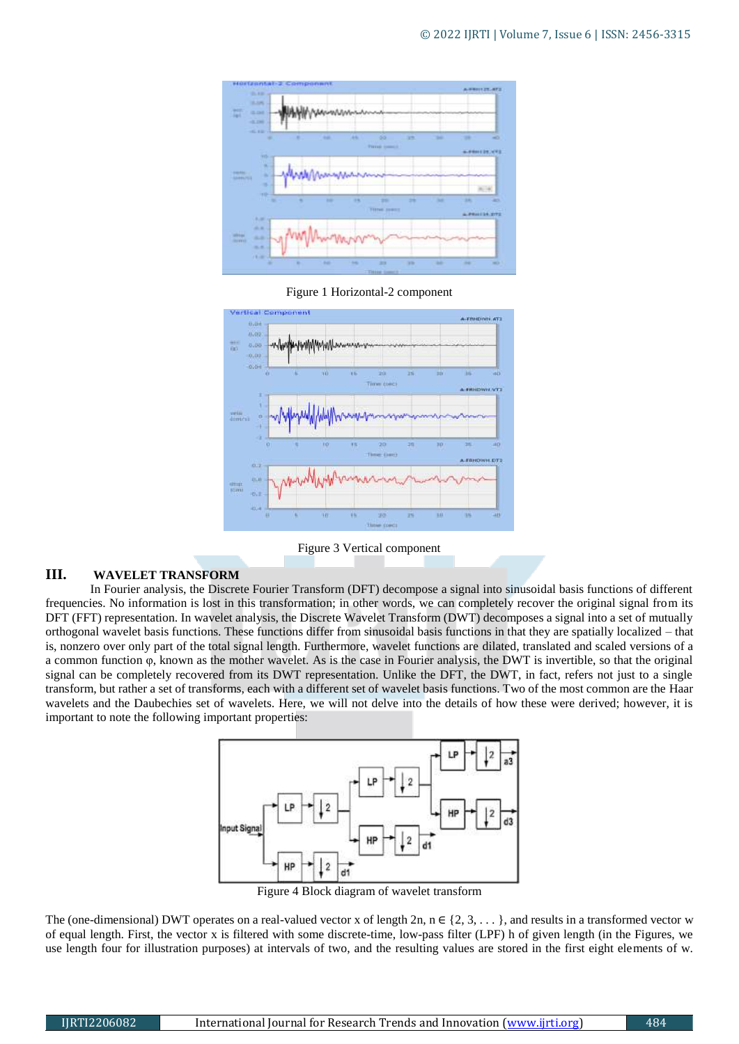

Figure 1 Horizontal-2 component



Figure 3 Vertical component

## **III. WAVELET TRANSFORM**

In Fourier analysis, the Discrete Fourier Transform (DFT) decompose a signal into sinusoidal basis functions of different frequencies. No information is lost in this transformation; in other words, we can completely recover the original signal from its DFT (FFT) representation. In wavelet analysis, the Discrete Wavelet Transform (DWT) decomposes a signal into a set of mutually orthogonal wavelet basis functions. These functions differ from sinusoidal basis functions in that they are spatially localized – that is, nonzero over only part of the total signal length. Furthermore, wavelet functions are dilated, translated and scaled versions of a a common function φ, known as the mother wavelet. As is the case in Fourier analysis, the DWT is invertible, so that the original signal can be completely recovered from its DWT representation. Unlike the DFT, the DWT, in fact, refers not just to a single transform, but rather a set of transforms, each with a different set of wavelet basis functions. Two of the most common are the Haar wavelets and the Daubechies set of wavelets. Here, we will not delve into the details of how these were derived; however, it is important to note the following important properties:



Figure 4 Block diagram of wavelet transform

The (one-dimensional) DWT operates on a real-valued vector x of length 2n,  $n \in \{2, 3, \ldots\}$ , and results in a transformed vector w of equal length. First, the vector x is filtered with some discrete-time, low-pass filter (LPF) h of given length (in the Figures, we use length four for illustration purposes) at intervals of two, and the resulting values are stored in the first eight elements of w.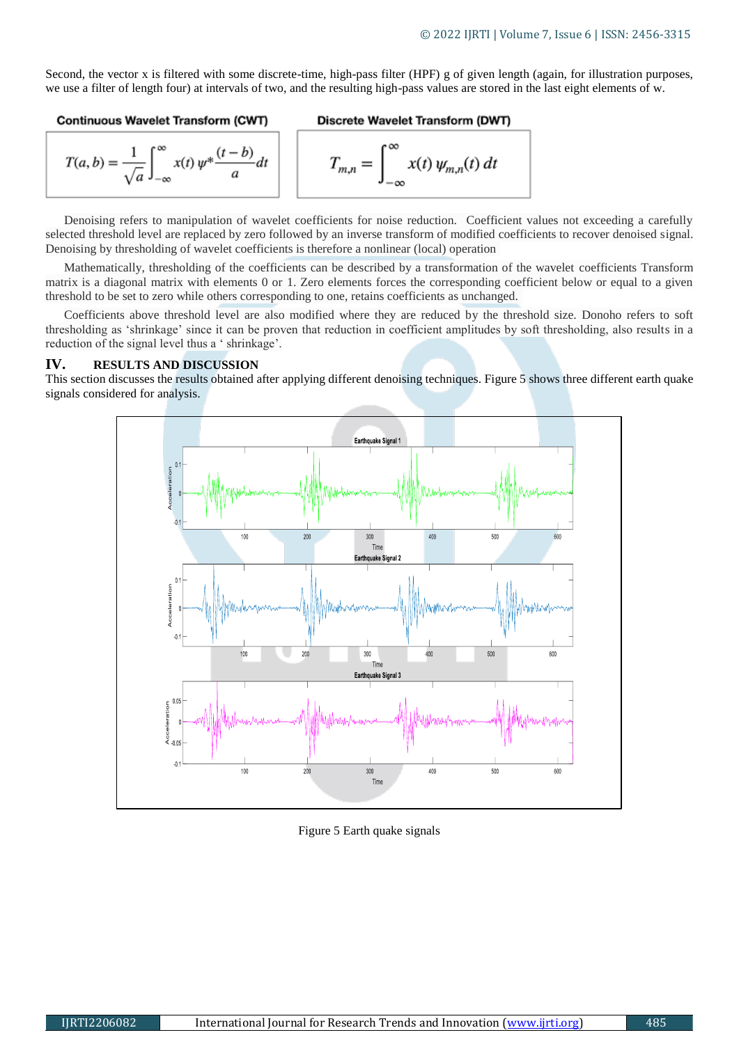Second, the vector x is filtered with some discrete-time, high-pass filter (HPF) g of given length (again, for illustration purposes, we use a filter of length four) at intervals of two, and the resulting high-pass values are stored in the last eight elements of w.

#### Continuous Wavelet Transform (CWT)

 $T_{m,n} = \int_{0}^{\infty} x(t) \psi_{m,n}(t) dt$ 

$$
T(a,b) = \frac{1}{\sqrt{a}} \int_{-\infty}^{\infty} x(t) \, \psi^* \frac{(t-b)}{a} dt
$$

Denoising refers to manipulation of wavelet coefficients for noise reduction. Coefficient values not exceeding a carefully selected threshold level are replaced by zero followed by an inverse transform of modified coefficients to recover denoised signal. Denoising by thresholding of wavelet coefficients is therefore a nonlinear (local) operation

Mathematically, thresholding of the coefficients can be described by a transformation of the wavelet coefficients Transform matrix is a diagonal matrix with elements 0 or 1. Zero elements forces the corresponding coefficient below or equal to a given threshold to be set to zero while others corresponding to one, retains coefficients as unchanged.

Coefficients above threshold level are also modified where they are reduced by the threshold size. Donoho refers to soft thresholding as 'shrinkage' since it can be proven that reduction in coefficient amplitudes by soft thresholding, also results in a reduction of the signal level thus a ' shrinkage'.

### **IV. RESULTS AND DISCUSSION**

This section discusses the results obtained after applying different denoising techniques. Figure 5 shows three different earth quake signals considered for analysis.



Figure 5 Earth quake signals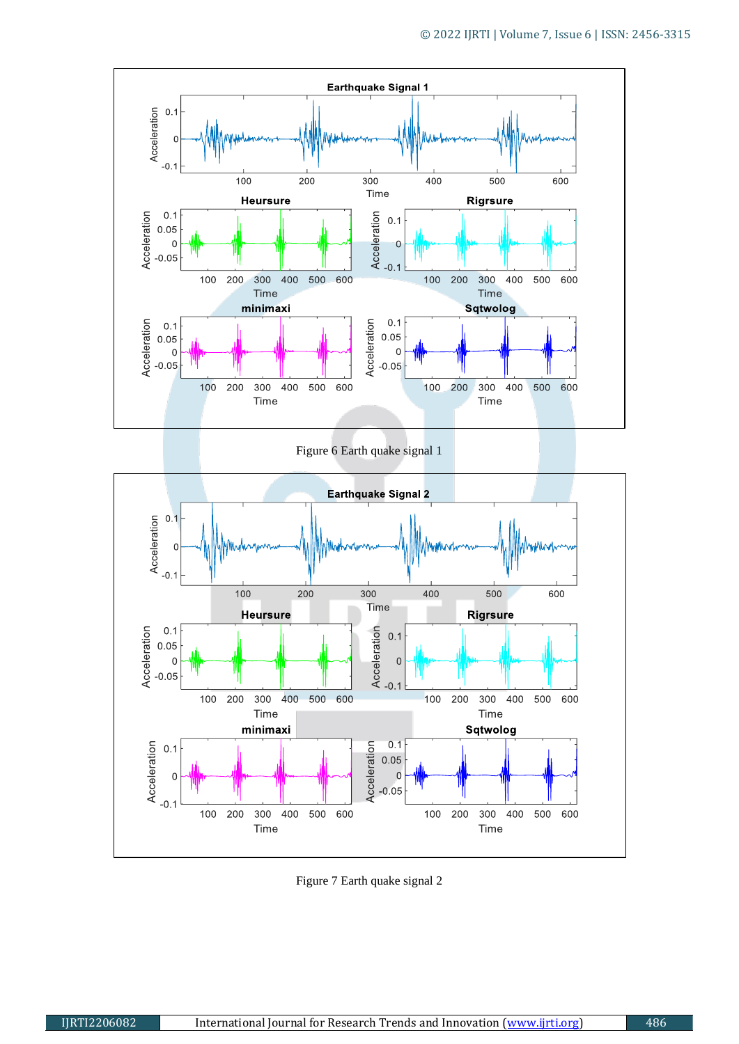

Figure 6 Earth quake signal 1

![](_page_3_Figure_3.jpeg)

Figure 7 Earth quake signal 2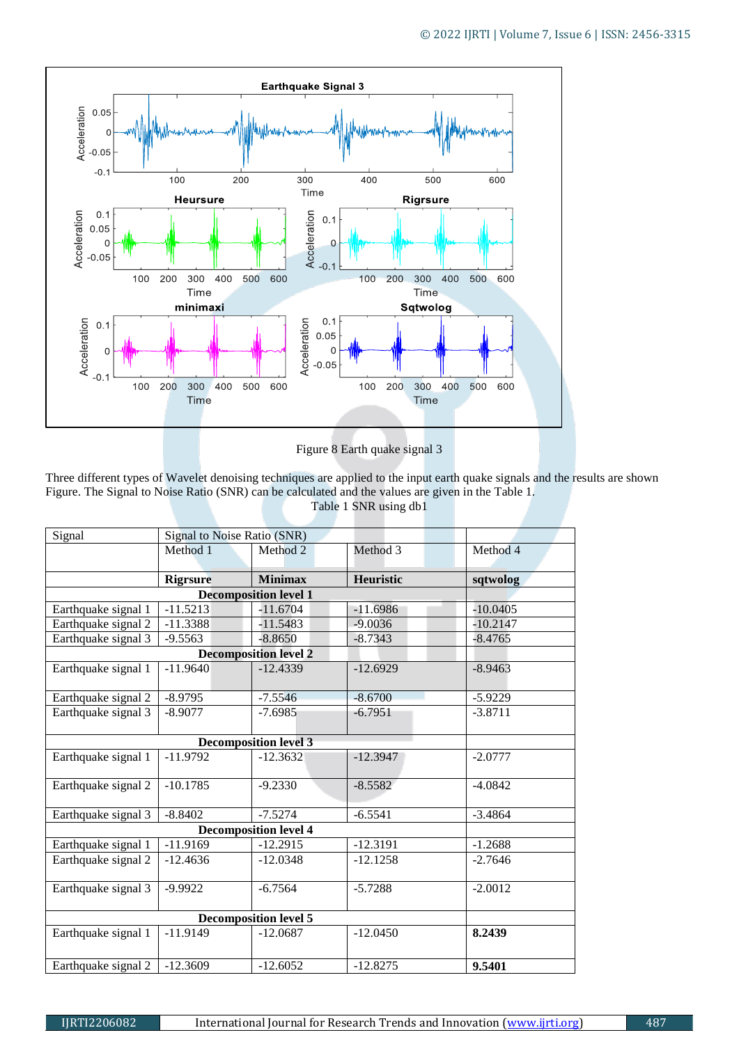![](_page_4_Figure_1.jpeg)

Figure 8 Earth quake signal 3

Three different types of Wavelet denoising techniques are applied to the input earth quake signals and the results are shown Figure. The Signal to Noise Ratio (SNR) can be calculated and the values are given in the Table 1. Table 1 SNR using db1

| Signal                       | Signal to Noise Ratio (SNR) |                                            |                  |            |  |  |  |
|------------------------------|-----------------------------|--------------------------------------------|------------------|------------|--|--|--|
|                              | Method 1                    | Method 2                                   | Method 3         | Method 4   |  |  |  |
|                              |                             |                                            |                  |            |  |  |  |
|                              | <b>Rigrsure</b>             | <b>Minimax</b>                             | <b>Heuristic</b> | sqtwolog   |  |  |  |
|                              |                             |                                            |                  |            |  |  |  |
| Earthquake signal 1          | $-11.5213$                  | $-11.6704$                                 | $-11.6986$       | $-10.0405$ |  |  |  |
| Earthquake signal 2          | $-11.3388$                  | $-11.5483$                                 | $-9.0036$        | $-10.2147$ |  |  |  |
| Earthquake signal 3          | $-9.5563$                   | $-8.8650$                                  | $-8.7343$        | $-8.4765$  |  |  |  |
| <b>Decomposition level 2</b> |                             |                                            |                  |            |  |  |  |
| Earthquake signal 1          | $-11.9640$                  | $-12.4339$                                 | $-12.6929$       | $-8.9463$  |  |  |  |
|                              |                             |                                            |                  |            |  |  |  |
| Earthquake signal 2          | $-8.9795$                   | $-7.5546$                                  | $-8.6700$        | $-5.9229$  |  |  |  |
| Earthquake signal 3          | $-8.9077$                   | $-7.6985$                                  | $-6.7951$        | $-3.8711$  |  |  |  |
|                              |                             |                                            |                  |            |  |  |  |
| Earthquake signal 1          | $-11.9792$                  | <b>Decomposition level 3</b><br>$-12.3632$ | $-12.3947$       | $-2.0777$  |  |  |  |
|                              |                             |                                            |                  |            |  |  |  |
| Earthquake signal 2          | $-10.1785$                  | $-9.2330$                                  | $-8.5582$        | $-4.0842$  |  |  |  |
|                              |                             |                                            |                  |            |  |  |  |
| Earthquake signal 3          | $-8.8402$                   | $-7.5274$                                  | $-6.5541$        | $-3.4864$  |  |  |  |
| <b>Decomposition level 4</b> |                             |                                            |                  |            |  |  |  |
| Earthquake signal 1          | $-11.9169$                  | $-12.2915$                                 | $-12.3191$       | $-1.2688$  |  |  |  |
| Earthquake signal 2          | $-12.4636$                  | $-12.0348$                                 | $-12.1258$       | $-2.7646$  |  |  |  |
|                              |                             |                                            |                  |            |  |  |  |
| Earthquake signal 3          | $-9.9922$                   | $-6.7564$                                  | $-5.7288$        | $-2.0012$  |  |  |  |
|                              |                             | <b>Decomposition level 5</b>               |                  |            |  |  |  |
|                              |                             |                                            |                  |            |  |  |  |
| Earthquake signal 1          | $-11.9149$                  | $-12.0687$                                 | $-12.0450$       | 8.2439     |  |  |  |
|                              |                             |                                            |                  |            |  |  |  |
| Earthquake signal 2          | $-12.3609$                  | $-12.6052$                                 | $-12.8275$       | 9.5401     |  |  |  |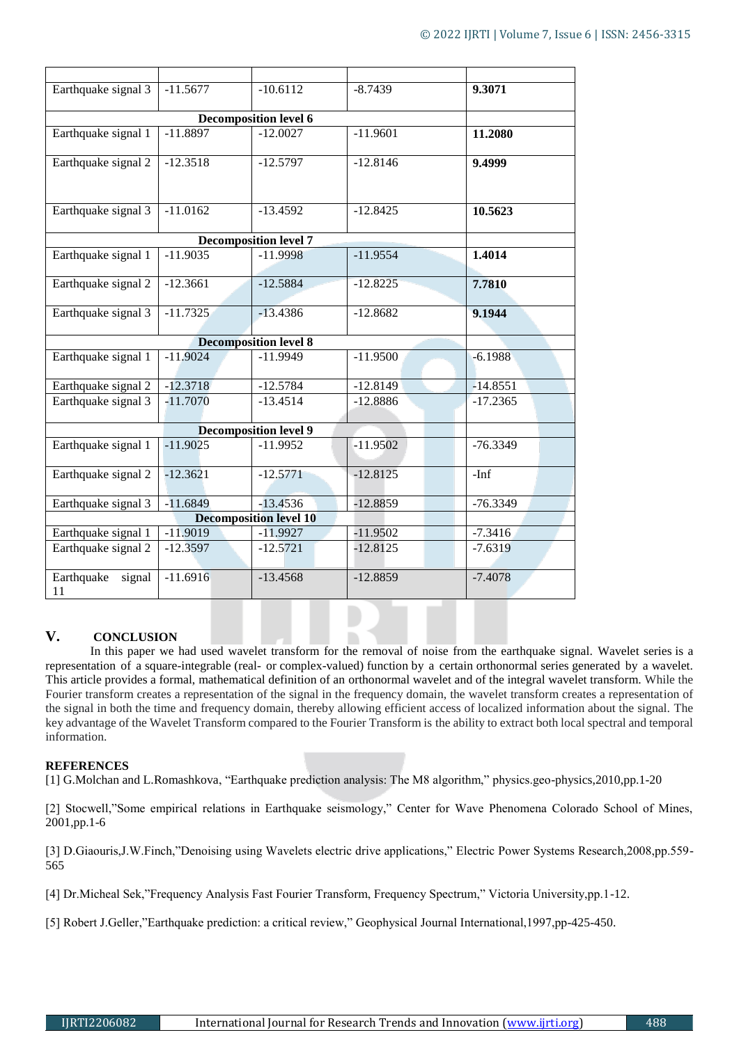| Earthquake signal 3           | $-11.5677$ | $-10.6112$ | $-8.7439$  | 9.3071     |  |  |  |
|-------------------------------|------------|------------|------------|------------|--|--|--|
| <b>Decomposition level 6</b>  |            |            |            |            |  |  |  |
| Earthquake signal 1           | $-11.8897$ | $-12.0027$ | $-11.9601$ | 11.2080    |  |  |  |
| Earthquake signal 2           | $-12.3518$ | $-12.5797$ | $-12.8146$ | 9.4999     |  |  |  |
| Earthquake signal 3           | $-11.0162$ | $-13.4592$ | $-12.8425$ | 10.5623    |  |  |  |
|                               |            |            |            |            |  |  |  |
| Earthquake signal 1           | $-11.9035$ | $-11.9998$ | $-11.9554$ | 1.4014     |  |  |  |
| Earthquake signal 2           | $-12.3661$ | $-12.5884$ | $-12.8225$ | 7.7810     |  |  |  |
| Earthquake signal 3           | $-11.7325$ | $-13.4386$ | $-12.8682$ | 9.1944     |  |  |  |
|                               |            |            |            |            |  |  |  |
| Earthquake signal 1           | $-11.9024$ | $-11.9949$ | $-11.9500$ | $-6.1988$  |  |  |  |
| Earthquake signal 2           | $-12.3718$ | $-12.5784$ | $-12.8149$ | $-14.8551$ |  |  |  |
| Earthquake signal 3           | $-11,7070$ | $-13.4514$ | $-12.8886$ | $-17.2365$ |  |  |  |
|                               |            |            |            |            |  |  |  |
| Earthquake signal 1           | $-11.9025$ | $-11.9952$ | $-11.9502$ | $-76.3349$ |  |  |  |
| Earthquake signal 2           | $-12.3621$ | $-12.5771$ | $-12.8125$ | $-Inf$     |  |  |  |
| Earthquake signal 3           | $-11.6849$ | $-13.4536$ | $-12.8859$ | $-76.3349$ |  |  |  |
| <b>Decomposition level 10</b> |            |            |            |            |  |  |  |
| Earthquake signal 1           | $-11.9019$ | $-11.9927$ | $-11.9502$ | $-7.3416$  |  |  |  |
| Earthquake signal 2           | $-12.3597$ | $-12.5721$ | $-12.8125$ | $-7.6319$  |  |  |  |
| Earthquake<br>signal<br>11    | $-11.6916$ | $-13.4568$ | $-12.8859$ | $-7.4078$  |  |  |  |

# **V. CONCLUSION**

In this paper we had used wavelet transform for the removal of noise from the earthquake signal. Wavelet series is a representation of a [square-integrable](https://en.wikipedia.org/wiki/Square-integrable) [\(real-](https://en.wikipedia.org/wiki/Real_number) or [complex-](https://en.wikipedia.org/wiki/Complex_number)valued) [function](https://en.wikipedia.org/wiki/Function_(mathematics)) by a certain [orthonormal](https://en.wikipedia.org/wiki/Orthonormal) [series](https://en.wikipedia.org/wiki/Series_(mathematics)) generated by a [wavelet.](https://en.wikipedia.org/wiki/Wavelet) This article provides a formal, mathematical definition of an orthonormal wavelet and of the integral wavelet transform. While the Fourier transform creates a representation of the signal in the frequency domain, the wavelet transform creates a representation of the signal in both the time and frequency domain, thereby allowing efficient access of localized information about the signal. The key advantage of the Wavelet Transform compared to the Fourier Transform is the ability to extract both local spectral and temporal information.

## **REFERENCES**

[1] G.Molchan and L.Romashkova, "Earthquake prediction analysis: The M8 algorithm," physics.geo-physics,2010,pp.1-20

[2] Stocwell,"Some empirical relations in Earthquake seismology," Center for Wave Phenomena Colorado School of Mines, 2001,pp.1-6

[3] D.Giaouris,J.W.Finch,"Denoising using Wavelets electric drive applications," Electric Power Systems Research,2008,pp.559- 565

[4] Dr.Micheal Sek,"Frequency Analysis Fast Fourier Transform, Frequency Spectrum," Victoria University,pp.1-12.

[5] Robert J.Geller,"Earthquake prediction: a critical review," Geophysical Journal International,1997,pp-425-450.